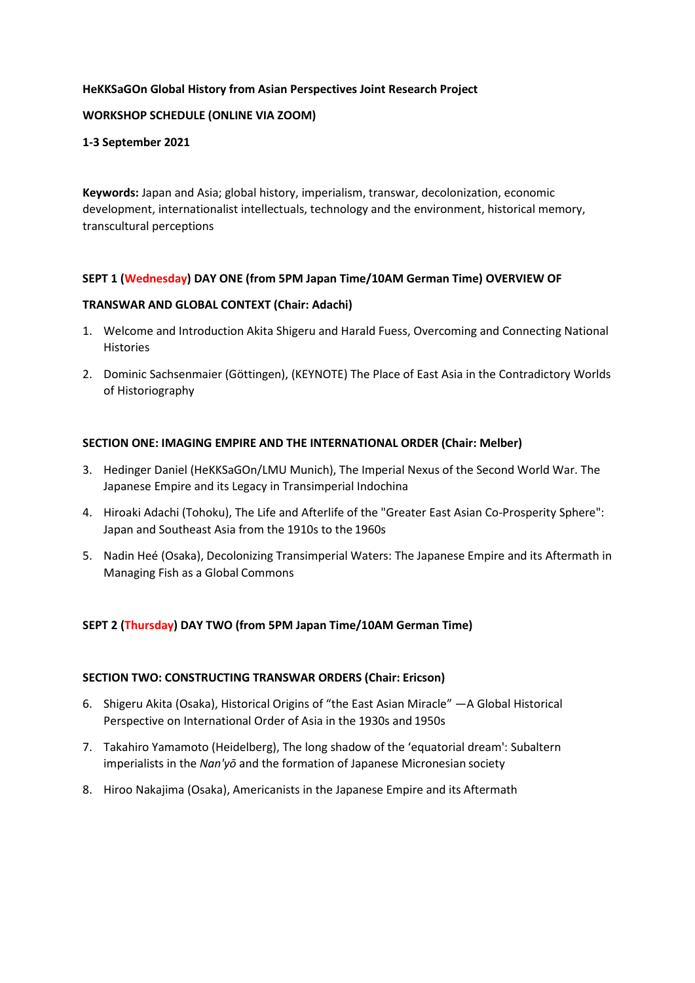# **HeKKSaGOn Global History from Asian Perspectives Joint Research Project**

# **WORKSHOP SCHEDULE (ONLINE VIA ZOOM)**

## **1-3 September 2021**

**Keywords:** Japan and Asia; global history, imperialism, transwar, decolonization, economic development, internationalist intellectuals, technology and the environment, historical memory, transcultural perceptions

# **SEPT 1 (Wednesday) DAY ONE (from 5PM Japan Time/10AM German Time) OVERVIEW OF**

# **TRANSWAR AND GLOBAL CONTEXT (Chair: Adachi)**

- 1. Welcome and Introduction Akita Shigeru and Harald Fuess, Overcoming and Connecting National Histories
- 2. Dominic Sachsenmaier (Göttingen), (KEYNOTE) The Place of East Asia in the Contradictory Worlds of Historiography

# **SECTION ONE: IMAGING EMPIRE AND THE INTERNATIONAL ORDER (Chair: Melber)**

- 3. Hedinger Daniel (HeKKSaGOn/LMU Munich), The Imperial Nexus of the Second World War. The Japanese Empire and its Legacy in Transimperial Indochina
- 4. Hiroaki Adachi (Tohoku), The Life and Afterlife of the "Greater East Asian Co-Prosperity Sphere": Japan and Southeast Asia from the 1910s to the 1960s
- 5. Nadin Heé (Osaka), Decolonizing Transimperial Waters: The Japanese Empire and its Aftermath in Managing Fish as a Global Commons

# **SEPT 2 (Thursday) DAY TWO (from 5PM Japan Time/10AM German Time)**

#### **SECTION TWO: CONSTRUCTING TRANSWAR ORDERS (Chair: Ericson)**

- 6. Shigeru Akita (Osaka), Historical Origins of "the East Asian Miracle" —A Global Historical Perspective on International Order of Asia in the 1930s and 1950s
- 7. Takahiro Yamamoto (Heidelberg), The long shadow of the 'equatorial dream': Subaltern imperialists in the *Nan'yō* and the formation of Japanese Micronesian society
- 8. Hiroo Nakajima (Osaka), Americanists in the Japanese Empire and its Aftermath